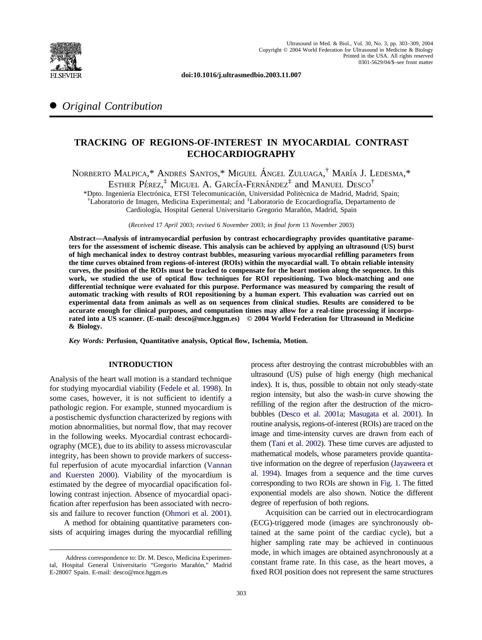

**doi:10.1016/j.ultrasmedbio.2003.11.007**

# ● *Original Contribution*

## **TRACKING OF REGIONS-OF-INTEREST IN MYOCARDIAL CONTRAST ECHOCARDIOGRAPHY**

NORBERTO MALPICA,\* ANDRES SANTOS,\* MIGUEL ÁNGEL ZULUAGA,<sup>†</sup> MARÍA J. LEDESMA,\*

Esther Pérez,<sup>†</sup> Miguel A. García-Fernández<sup>‡</sup> and Manuel Desco<sup>†</sup>

\*Dpto. Ingeniería Electrónica, ETSI Telecomunicación, Universidad Politécnica de Madrid, Madrid, Spain;

<sup>†</sup>Laboratorio de Imagen, Medicina Experimental; and <sup>‡</sup>Laboratorio de Ecocardiografía, Departamento de

Cardiología, Hospital General Universitario Gregorio Marañón, Madrid, Spain

(*Received* 17 *April* 2003; *revised* 6 *November* 2003; *in final form* 13 *November* 2003)

**Abstract—Analysis of intramyocardial perfusion by contrast echocardiography provides quantitative parameters for the assessment of ischemic disease. This analysis can be achieved by applying an ultrasound (US) burst of high mechanical index to destroy contrast bubbles, measuring various myocardial refilling parameters from the time curves obtained from regions-of-interest (ROIs) within the myocardial wall. To obtain reliable intensity curves, the position of the ROIs must be tracked to compensate for the heart motion along the sequence. In this work, we studied the use of optical flow techniques for ROI repositioning. Two block-matching and one differential technique were evaluated for this purpose. Performance was measured by comparing the result of automatic tracking with results of ROI repositioning by a human expert. This evaluation was carried out on experimental data from animals as well as on sequences from clinical studies. Results are considered to be accurate enough for clinical purposes, and computation times may allow for a real-time processing if incorporated into a US scanner. (E-mail: desco@mce.hggm.es) © 2004 World Federation for Ultrasound in Medicine & Biology.**

*Key Words:* **Perfusion, Quantitative analysis, Optical flow, Ischemia, Motion.**

## **INTRODUCTION**

Analysis of the heart wall motion is a standard technique for studying myocardial viability [\(Fedele et al. 1998\)](#page-6-0). In some cases, however, it is not sufficient to identify a pathologic region. For example, stunned myocardium is a postischemic dysfunction characterized by regions with motion abnormalities, but normal flow, that may recover in the following weeks. Myocardial contrast echocardiography (MCE), due to its ability to assess microvascular integrity, has been shown to provide markers of successful reperfusion of acute myocardial infarction [\(Vannan](#page-6-0) [and Kuersten 2000\)](#page-6-0). Viability of the myocardium is estimated by the degree of myocardial opacification following contrast injection. Absence of myocardial opacification after reperfusion has been associated with necrosis and failure to recover function [\(Ohmori et al. 2001\)](#page-6-0).

A method for obtaining quantitative parameters consists of acquiring images during the myocardial refilling index). It is, thus, possible to obtain not only steady-state region intensity, but also the wash-in curve showing the refilling of the region after the destruction of the microbubbles [\(Desco et al. 2001a; Masugata et al. 2001\)](#page-6-0). In routine analysis, regions-of-interest (ROIs) are traced on the image and time-intensity curves are drawn from each of them [\(Tani et al. 2002\)](#page-6-0). These time curves are adjusted to mathematical models, whose parameters provide quantitative information on the degree of reperfusion [\(Jayaweera et](#page-6-0) [al. 1994\)](#page-6-0). Images from a sequence and the time curves corresponding to two ROIs are shown in [Fig. 1.](#page-2-0) The fitted exponential models are also shown. Notice the different degree of reperfusion of both regions. Acquisition can be carried out in electrocardiogram

process after destroying the contrast microbubbles with an ultrasound (US) pulse of high energy (high mechanical

(ECG)-triggered mode (images are synchronously obtained at the same point of the cardiac cycle), but a higher sampling rate may be achieved in continuous mode, in which images are obtained asynchronously at a constant frame rate. In this case, as the heart moves, a fixed ROI position does not represent the same structures

Address correspondence to: Dr. M. Desco, Medicina Experimental, Hospital General Universitario "Gregorio Marañón," Madrid E-28007 Spain. E-mail: desco@mce.hggm.es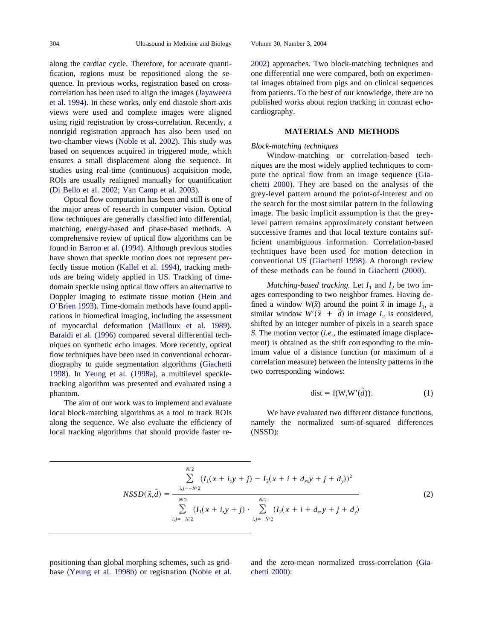along the cardiac cycle. Therefore, for accurate quantification, regions must be repositioned along the sequence. In previous works, registration based on crosscorrelation has been used to align the images [\(Jayaweera](#page-6-0) [et al. 1994\)](#page-6-0). In these works, only end diastole short-axis views were used and complete images were aligned using rigid registration by cross-correlation. Recently, a nonrigid registration approach has also been used on two-chamber views [\(Noble et al. 2002\)](#page-6-0). This study was based on sequences acquired in triggered mode, which ensures a small displacement along the sequence. In studies using real-time (continuous) acquisition mode, ROIs are usually realigned manually for quantification [\(Di Bello et al. 2002; Van Camp et al. 2003\)](#page-6-0).

Optical flow computation has been and still is one of the major areas of research in computer vision. Optical flow techniques are generally classified into differential, matching, energy-based and phase-based methods. A comprehensive review of optical flow algorithms can be found in [Barron et al. \(1994\).](#page-6-0) Although previous studies have shown that speckle motion does not represent perfectly tissue motion [\(Kallel et al. 1994\)](#page-6-0), tracking methods are being widely applied in US. Tracking of timedomain speckle using optical flow offers an alternative to Doppler imaging to estimate tissue motion [\(Hein and](#page-6-0) [O'Brien 1993\)](#page-6-0). Time-domain methods have found applications in biomedical imaging, including the assessment of myocardial deformation [\(Mailloux et al. 1989\)](#page-6-0). [Baraldi et al. \(1996\)](#page-6-0) compared several differential techniques on synthetic echo images. More recently, optical flow techniques have been used in conventional echocardiography to guide segmentation algorithms [\(Giachetti](#page-6-0) [1998\)](#page-6-0). In [Yeung et al. \(1998a\),](#page-6-0) a multilevel speckletracking algorithm was presented and evaluated using a phantom.

The aim of our work was to implement and evaluate local block-matching algorithms as a tool to track ROIs along the sequence. We also evaluate the efficiency of local tracking algorithms that should provide faster re[2002\)](#page-6-0) approaches. Two block-matching techniques and one differential one were compared, both on experimental images obtained from pigs and on clinical sequences from patients. To the best of our knowledge, there are no published works about region tracking in contrast echocardiography.

### **MATERIALS AND METHODS**

#### *Block-matching techniques*

Window-matching or correlation-based techniques are the most widely applied techniques to compute the optical flow from an image sequence [\(Gia](#page-6-0)[chetti 2000\)](#page-6-0). They are based on the analysis of the grey-level pattern around the point-of-interest and on the search for the most similar pattern in the following image. The basic implicit assumption is that the greylevel pattern remains approximately constant between successive frames and that local texture contains sufficient unambiguous information. Correlation-based techniques have been used for motion detection in conventional US [\(Giachetti 1998\)](#page-6-0). A thorough review of these methods can be found in [Giachetti \(2000\).](#page-6-0)

*Matching-based tracking.* Let  $I_1$  and  $I_2$  be two images corresponding to two neighbor frames. Having defined a window  $W(\vec{x})$  around the point  $\vec{x}$  in image  $I_1$ , a similar window  $W'(\vec{x} + \vec{d})$  in image  $I_2$  is considered, shifted by an integer number of pixels in a search space *S*. The motion vector (*i.e.,* the estimated image displacement) is obtained as the shift corresponding to the minimum value of a distance function (or maximum of a correlation measure) between the intensity patterns in the two corresponding windows:

$$
dist = f(W, W'(\vec{d})). \tag{1}
$$

We have evaluated two different distance functions, namely the normalized sum-of-squared differences (NSSD):

$$
NSSD(\vec{x}, \vec{d}) = \frac{\sum_{i,j=-N/2}^{N/2} (I_1(x+i, y+j) - I_2(x+i+d_x, y+j+d_y))^2}{\sum_{i,j=-N/2}^{N/2} (I_1(x+i, y+j) \cdot \sum_{i,j=-N/2}^{N/2} (I_2(x+i+d_x, y+j+d_y))}
$$
(2)

positioning than global morphing schemes, such as gridbase [\(Yeung et al. 1998b\)](#page-6-0) or registration [\(Noble et al.](#page-6-0) and the zero-mean normalized cross-correlation [\(Gia](#page-6-0)[chetti 2000\)](#page-6-0):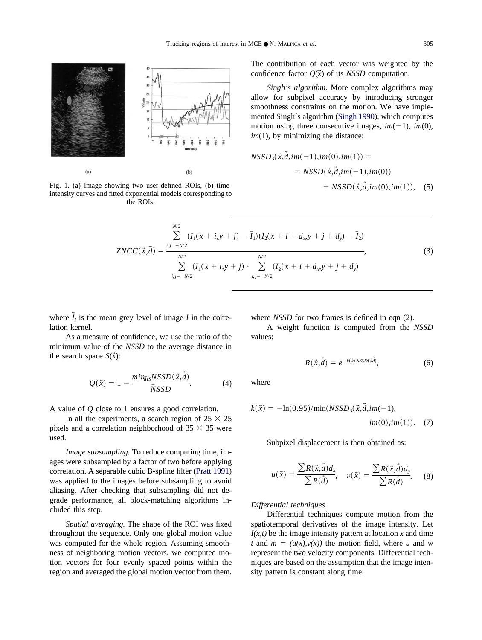<span id="page-2-0"></span>

Fig. 1. (a) Image showing two user-defined ROIs, (b) timeintensity curves and fitted exponential models corresponding to the ROIs.

The contribution of each vector was weighted by the confidence factor  $Q(\vec{x})$  of its *NSSD* computation.

*Singh's algorithm.* More complex algorithms may allow for subpixel accuracy by introducing stronger smoothness constraints on the motion. We have imple-mented Singh's algorithm [\(Singh 1990\)](#page-6-0), which computes motion using three consecutive images,  $im(-1)$ ,  $im(0)$ ,  $im(1)$ , by minimizing the distance:

$$
NSSD_3(\vec{x}, \vec{d}, im(-1), im(0), im(1)) =
$$
  
=  $NSSD(\vec{x}, \vec{d}, im(-1), im(0))$   
+  $NSSD(\vec{x}, \vec{d}, im(0), im(1)),$  (5)

$$
ZNCC(\vec{x},\vec{d}) = \frac{\sum_{i,j=-N/2}^{N/2} (I_1(x+i,y+j) - \bar{I}_1)(I_2(x+i+d_x,y+j+d_y) - \bar{I}_2)}{\sum_{i,j=-N/2}^{N/2} (I_1(x+i,y+j) \cdot \sum_{i,j=-N/2}^{N/2} (I_2(x+i+d_x,y+j+d_y))},
$$
(3)

where  $\vec{I}_i$  is the mean grey level of image *I* in the correlation kernel.

As a measure of confidence, we use the ratio of the minimum value of the *NSSD* to the average distance in the search space  $S(\vec{x})$ :

$$
Q(\vec{x}) = 1 - \frac{min_{\vec{a}\in S} NSSD(\vec{x}, \vec{d})}{\bar{N}SD}.
$$
 (4)

A value of *Q* close to 1 ensures a good correlation.

In all the experiments, a search region of  $25 \times 25$ pixels and a correlation neighborhood of  $35 \times 35$  were used.

*Image subsampling.* To reduce computing time, images were subsampled by a factor of two before applying correlation. A separable cubic B-spline filter [\(Pratt 1991\)](#page-6-0) was applied to the images before subsampling to avoid aliasing. After checking that subsampling did not degrade performance, all block-matching algorithms included this step.

*Spatial averaging.* The shape of the ROI was fixed throughout the sequence. Only one global motion value was computed for the whole region. Assuming smoothness of neighboring motion vectors, we computed motion vectors for four evenly spaced points within the region and averaged the global motion vector from them. where *NSSD* for two frames is defined in eqn (2).

A weight function is computed from the *NSSD* values:

$$
R(\vec{x},\vec{d}) = e^{-k(\vec{x})\,NSSD(\vec{x}\vec{d})},\tag{6}
$$

where

$$
k(\vec{x}) = -\ln(0.95)/\min(NSSD_3(\vec{x}, \vec{d}, im(-1),im(0), im(1)).
$$
 (7)

Subpixel displacement is then obtained as:

$$
u(\vec{x}) = \frac{\sum R(\vec{x}, \vec{d})d_x}{\sum R(\vec{d})}, \quad \nu(\vec{x}) = \frac{\sum R(\vec{x}, \vec{d})d_y}{\sum R(\vec{d})}.
$$
 (8)

#### *Differential techniques*

Differential techniques compute motion from the spatiotemporal derivatives of the image intensity. Let  $I(x,t)$  be the image intensity pattern at location *x* and time *t* and  $m = (u(x), v(x))$  the motion field, where *u* and *w* represent the two velocity components. Differential techniques are based on the assumption that the image intensity pattern is constant along time: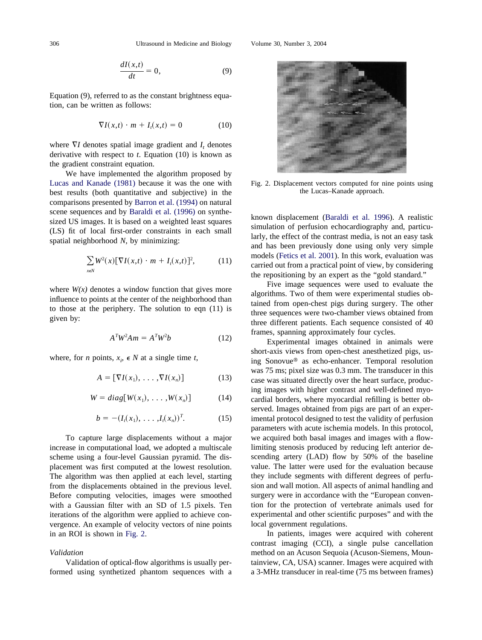306 Ultrasound in Medicine and Biology Volume 30, Number 3, 2004

$$
\frac{dI(x,t)}{dt} = 0,\t\t(9)
$$

Equation (9), referred to as the constant brightness equation, can be written as follows:

$$
\nabla I(x,t) \cdot m + I_t(x,t) = 0 \tag{10}
$$

where  $\nabla I$  denotes spatial image gradient and  $I_t$  denotes derivative with respect to *t*. Equation (10) is known as the gradient constraint equation.

We have implemented the algorithm proposed by [Lucas and Kanade \(1981\)](#page-6-0) because it was the one with best results (both quantitative and subjective) in the comparisons presented by [Barron et al. \(1994\)](#page-6-0) on natural scene sequences and by [Baraldi et al. \(1996\)](#page-6-0) on synthesized US images. It is based on a weighted least squares (LS) fit of local first-order constraints in each small spatial neighborhood *N*, by minimizing:

$$
\sum_{x \in N} W^2(x) [\nabla I(x,t) \cdot m + I_t(x,t)]^2, \tag{11}
$$

where  $W(x)$  denotes a window function that gives more influence to points at the center of the neighborhood than to those at the periphery. The solution to eqn (11) is given by:

$$
A^T W^2 A m = A^T W^2 b \tag{12}
$$

where, for *n* points,  $x_i$ ,  $\in N$  at a single time *t*,

$$
A = [\nabla I(x_1), \dots, \nabla I(x_n)] \tag{13}
$$

$$
W = diag[W(x_1), \ldots, W(x_n)] \qquad (14)
$$

$$
b = -(I_t(x_1), \ldots, I_t(x_n))^T.
$$
 (15)

To capture large displacements without a major increase in computational load, we adopted a multiscale scheme using a four-level Gaussian pyramid. The displacement was first computed at the lowest resolution. The algorithm was then applied at each level, starting from the displacements obtained in the previous level. Before computing velocities, images were smoothed with a Gaussian filter with an SD of 1.5 pixels. Ten iterations of the algorithm were applied to achieve convergence. An example of velocity vectors of nine points in an ROI is shown in Fig. 2.

### *Validation*

Validation of optical-flow algorithms is usually performed using synthetized phantom sequences with a



Fig. 2. Displacement vectors computed for nine points using the Lucas–Kanade approach.

known displacement [\(Baraldi et al. 1996\)](#page-6-0). A realistic simulation of perfusion echocardiography and, particularly, the effect of the contrast media, is not an easy task and has been previously done using only very simple models [\(Fetics et al. 2001\)](#page-6-0). In this work, evaluation was carried out from a practical point of view, by considering the repositioning by an expert as the "gold standard."

Five image sequences were used to evaluate the algorithms. Two of them were experimental studies obtained from open-chest pigs during surgery. The other three sequences were two-chamber views obtained from three different patients. Each sequence consisted of 40 frames, spanning approximately four cycles.

Experimental images obtained in animals were short-axis views from open-chest anesthetized pigs, using Sonovue® as echo-enhancer. Temporal resolution was 75 ms; pixel size was 0.3 mm. The transducer in this case was situated directly over the heart surface, producing images with higher contrast and well-defined myocardial borders, where myocardial refilling is better observed. Images obtained from pigs are part of an experimental protocol designed to test the validity of perfusion parameters with acute ischemia models. In this protocol, we acquired both basal images and images with a flowlimiting stenosis produced by reducing left anterior descending artery (LAD) flow by 50% of the baseline value. The latter were used for the evaluation because they include segments with different degrees of perfusion and wall motion. All aspects of animal handling and surgery were in accordance with the "European convention for the protection of vertebrate animals used for experimental and other scientific purposes" and with the local government regulations.

In patients, images were acquired with coherent contrast imaging (CCI), a single pulse cancellation method on an Acuson Sequoia (Acuson-Siemens, Mountainview, CA, USA) scanner. Images were acquired with a 3-MHz transducer in real-time (75 ms between frames)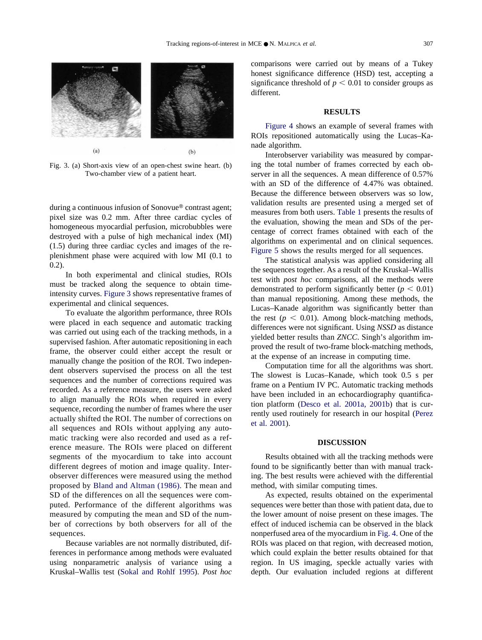

Fig. 3. (a) Short-axis view of an open-chest swine heart. (b) Two-chamber view of a patient heart.

during a continuous infusion of Sonovue® contrast agent; pixel size was 0.2 mm. After three cardiac cycles of homogeneous myocardial perfusion, microbubbles were destroyed with a pulse of high mechanical index (MI) (1.5) during three cardiac cycles and images of the replenishment phase were acquired with low MI (0.1 to 0.2).

In both experimental and clinical studies, ROIs must be tracked along the sequence to obtain timeintensity curves. Figure 3 shows representative frames of experimental and clinical sequences.

To evaluate the algorithm performance, three ROIs were placed in each sequence and automatic tracking was carried out using each of the tracking methods, in a supervised fashion. After automatic repositioning in each frame, the observer could either accept the result or manually change the position of the ROI. Two independent observers supervised the process on all the test sequences and the number of corrections required was recorded. As a reference measure, the users were asked to align manually the ROIs when required in every sequence, recording the number of frames where the user actually shifted the ROI. The number of corrections on all sequences and ROIs without applying any automatic tracking were also recorded and used as a reference measure. The ROIs were placed on different segments of the myocardium to take into account different degrees of motion and image quality. Interobserver differences were measured using the method proposed by [Bland and Altman \(1986\).](#page-6-0) The mean and SD of the differences on all the sequences were computed. Performance of the different algorithms was measured by computing the mean and SD of the number of corrections by both observers for all of the sequences.

Because variables are not normally distributed, differences in performance among methods were evaluated using nonparametric analysis of variance using a Kruskal–Wallis test [\(Sokal and Rohlf 1995\)](#page-6-0). *Post hoc* comparisons were carried out by means of a Tukey honest significance difference (HSD) test, accepting a significance threshold of  $p < 0.01$  to consider groups as different.

## **RESULTS**

[Figure 4](#page-5-0) shows an example of several frames with ROIs repositioned automatically using the Lucas–Kanade algorithm.

Interobserver variability was measured by comparing the total number of frames corrected by each observer in all the sequences. A mean difference of 0.57% with an SD of the difference of 4.47% was obtained. Because the difference between observers was so low, validation results are presented using a merged set of measures from both users. [Table 1](#page-5-0) presents the results of the evaluation, showing the mean and SDs of the percentage of correct frames obtained with each of the algorithms on experimental and on clinical sequences. [Figure 5](#page-5-0) shows the results merged for all sequences.

The statistical analysis was applied considering all the sequences together. As a result of the Kruskal–Wallis test with *post hoc* comparisons, all the methods were demonstrated to perform significantly better  $(p < 0.01)$ than manual repositioning. Among these methods, the Lucas–Kanade algorithm was significantly better than the rest  $(p < 0.01)$ . Among block-matching methods, differences were not significant. Using *NSSD* as distance yielded better results than *ZNCC*. Singh's algorithm improved the result of two-frame block-matching methods, at the expense of an increase in computing time.

Computation time for all the algorithms was short. The slowest is Lucas–Kanade, which took 0.5 s per frame on a Pentium IV PC. Automatic tracking methods have been included in an echocardiography quantification platform [\(Desco et al. 2001a, 2001b\)](#page-6-0) that is currently used routinely for research in our hospital [\(Perez](#page-6-0) [et al. 2001\)](#page-6-0).

#### **DISCUSSION**

Results obtained with all the tracking methods were found to be significantly better than with manual tracking. The best results were achieved with the differential method, with similar computing times.

As expected, results obtained on the experimental sequences were better than those with patient data, due to the lower amount of noise present on these images. The effect of induced ischemia can be observed in the black nonperfused area of the myocardium in [Fig. 4.](#page-5-0) One of the ROIs was placed on that region, with decreased motion, which could explain the better results obtained for that region. In US imaging, speckle actually varies with depth. Our evaluation included regions at different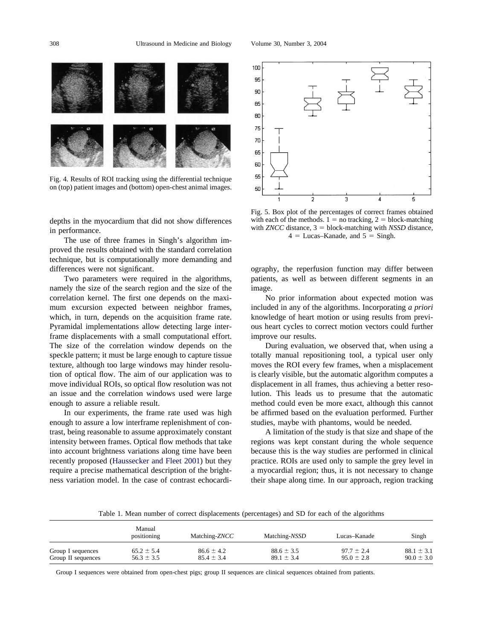<span id="page-5-0"></span>

Fig. 4. Results of ROI tracking using the differential technique on (top) patient images and (bottom) open-chest animal images.

depths in the myocardium that did not show differences in performance.

The use of three frames in Singh's algorithm improved the results obtained with the standard correlation technique, but is computationally more demanding and differences were not significant.

Two parameters were required in the algorithms, namely the size of the search region and the size of the correlation kernel. The first one depends on the maximum excursion expected between neighbor frames, which, in turn, depends on the acquisition frame rate. Pyramidal implementations allow detecting large interframe displacements with a small computational effort. The size of the correlation window depends on the speckle pattern; it must be large enough to capture tissue texture, although too large windows may hinder resolution of optical flow. The aim of our application was to move individual ROIs, so optical flow resolution was not an issue and the correlation windows used were large enough to assure a reliable result.

In our experiments, the frame rate used was high enough to assure a low interframe replenishment of contrast, being reasonable to assume approximately constant intensity between frames. Optical flow methods that take into account brightness variations along time have been recently proposed [\(Haussecker and Fleet 2001\)](#page-6-0) but they require a precise mathematical description of the brightness variation model. In the case of contrast echocardi-



Fig. 5. Box plot of the percentages of correct frames obtained with each of the methods.  $1 =$  no tracking,  $2 =$  block-matching with *ZNCC* distance,  $3 = \text{block-matching with } \text{NSSD}$  distance,  $4 =$  Lucas–Kanade, and  $5 =$  Singh.

ography, the reperfusion function may differ between patients, as well as between different segments in an image.

No prior information about expected motion was included in any of the algorithms. Incorporating *a priori* knowledge of heart motion or using results from previous heart cycles to correct motion vectors could further improve our results.

During evaluation, we observed that, when using a totally manual repositioning tool, a typical user only moves the ROI every few frames, when a misplacement is clearly visible, but the automatic algorithm computes a displacement in all frames, thus achieving a better resolution. This leads us to presume that the automatic method could even be more exact, although this cannot be affirmed based on the evaluation performed. Further studies, maybe with phantoms, would be needed.

A limitation of the study is that size and shape of the regions was kept constant during the whole sequence because this is the way studies are performed in clinical practice. ROIs are used only to sample the grey level in a myocardial region; thus, it is not necessary to change their shape along time. In our approach, region tracking

Table 1. Mean number of correct displacements (percentages) and SD for each of the algorithms

|                    | Manual<br>positioning | Matching-ZNCC  | Matching-NSSD  | Lucas–Kanade   | Singh          |
|--------------------|-----------------------|----------------|----------------|----------------|----------------|
| Group I sequences  | $65.2 \pm 5.4$        | $86.6 \pm 4.2$ | $88.6 \pm 3.5$ | $97.7 \pm 2.4$ | $88.1 \pm 3.1$ |
| Group II sequences | $56.3 \pm 3.5$        | $85.4 \pm 3.4$ | $89.1 \pm 3.4$ | $95.0 \pm 2.8$ | $90.0 \pm 3.0$ |

Group I sequences were obtained from open-chest pigs; group II sequences are clinical sequences obtained from patients.